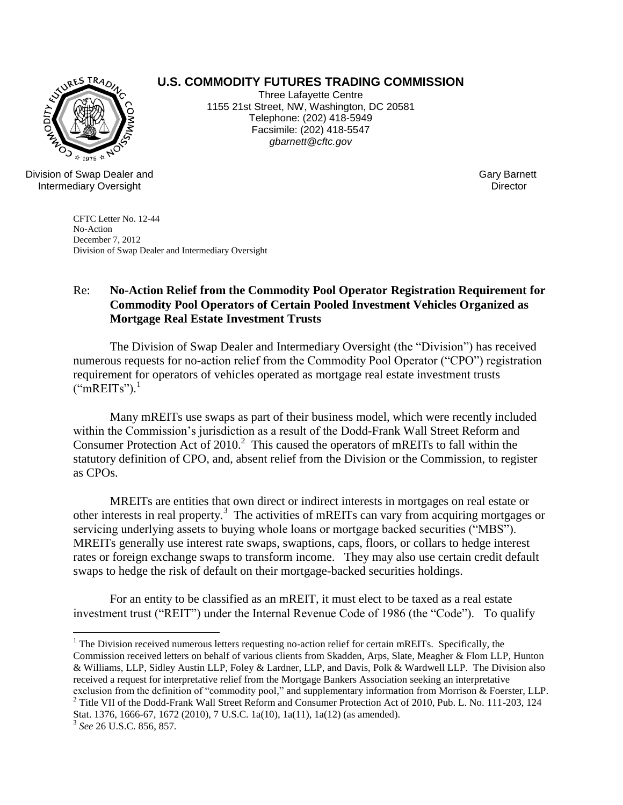## **U.S. COMMODITY FUTURES TRADING COMMISSION** Three Lafayette Centre

1155 21st Street, NW, Washington, DC 20581 Telephone: (202) 418-5949 Facsimile: (202) 418-5547 *gbarnett@cftc.gov*



 $*$  1975  $*$ Division of Swap Dealer and Intermediary Oversight

Gary Barnett **Director** 

CFTC Letter No. 12-44 No-Action December 7, 2012 Division of Swap Dealer and Intermediary Oversight

## Re: **No-Action Relief from the Commodity Pool Operator Registration Requirement for Commodity Pool Operators of Certain Pooled Investment Vehicles Organized as Mortgage Real Estate Investment Trusts**

The Division of Swap Dealer and Intermediary Oversight (the "Division") has received numerous requests for no-action relief from the Commodity Pool Operator ("CPO") registration requirement for operators of vehicles operated as mortgage real estate investment trusts  $("mREITS")$ <sup>1</sup>

Many mREITs use swaps as part of their business model, which were recently included within the Commission's jurisdiction as a result of the Dodd-Frank Wall Street Reform and Consumer Protection Act of  $2010$ <sup>2</sup> This caused the operators of mREITs to fall within the statutory definition of CPO, and, absent relief from the Division or the Commission, to register as CPOs.

MREITs are entities that own direct or indirect interests in mortgages on real estate or other interests in real property.<sup>3</sup> The activities of mREITs can vary from acquiring mortgages or servicing underlying assets to buying whole loans or mortgage backed securities ("MBS"). MREITs generally use interest rate swaps, swaptions, caps, floors, or collars to hedge interest rates or foreign exchange swaps to transform income. They may also use certain credit default swaps to hedge the risk of default on their mortgage-backed securities holdings.

For an entity to be classified as an mREIT, it must elect to be taxed as a real estate investment trust ("REIT") under the Internal Revenue Code of 1986 (the "Code"). To qualify

 $\overline{a}$ 

 $1$  The Division received numerous letters requesting no-action relief for certain mREITs. Specifically, the Commission received letters on behalf of various clients from Skadden, Arps, Slate, Meagher & Flom LLP, Hunton & Williams, LLP, Sidley Austin LLP, Foley & Lardner, LLP, and Davis, Polk & Wardwell LLP. The Division also received a request for interpretative relief from the Mortgage Bankers Association seeking an interpretative exclusion from the definition of "commodity pool," and supplementary information from Morrison & Foerster, LLP. <sup>2</sup> Title VII of the Dodd-Frank Wall Street Reform and Consumer Protection Act of 2010, Pub. L. No. 111-203, 124

Stat. 1376, 1666-67, 1672 (2010), 7 U.S.C. 1a(10), 1a(11), 1a(12) (as amended).

<sup>3</sup> *See* 26 U.S.C. 856, 857.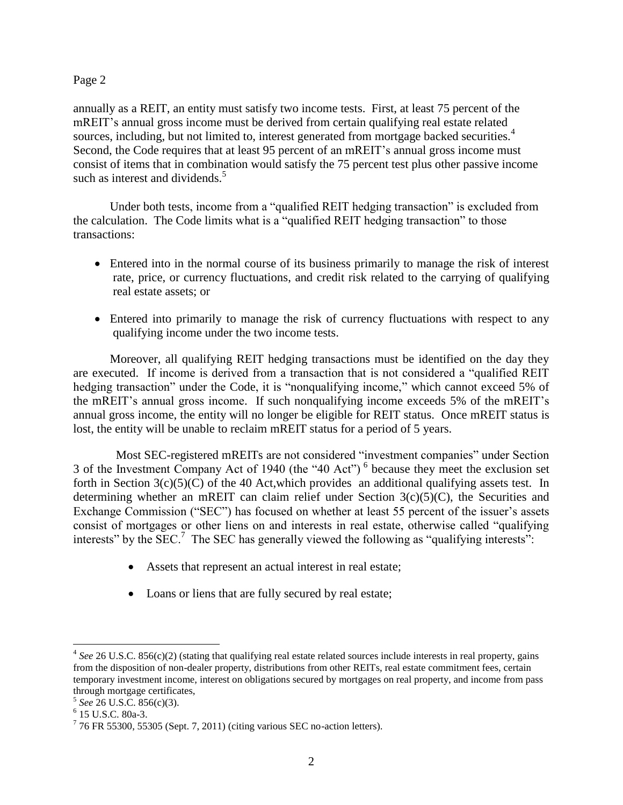annually as a REIT, an entity must satisfy two income tests. First, at least 75 percent of the mREIT's annual gross income must be derived from certain qualifying real estate related sources, including, but not limited to, interest generated from mortgage backed securities.<sup>4</sup> Second, the Code requires that at least 95 percent of an mREIT's annual gross income must consist of items that in combination would satisfy the 75 percent test plus other passive income such as interest and dividends.<sup>5</sup>

Under both tests, income from a "qualified REIT hedging transaction" is excluded from the calculation. The Code limits what is a "qualified REIT hedging transaction" to those transactions:

- Entered into in the normal course of its business primarily to manage the risk of interest rate, price, or currency fluctuations, and credit risk related to the carrying of qualifying real estate assets; or
- Entered into primarily to manage the risk of currency fluctuations with respect to any qualifying income under the two income tests.

Moreover, all qualifying REIT hedging transactions must be identified on the day they are executed. If income is derived from a transaction that is not considered a "qualified REIT hedging transaction" under the Code, it is "nonqualifying income," which cannot exceed 5% of the mREIT's annual gross income. If such nonqualifying income exceeds 5% of the mREIT's annual gross income, the entity will no longer be eligible for REIT status. Once mREIT status is lost, the entity will be unable to reclaim mREIT status for a period of 5 years.

 Most SEC-registered mREITs are not considered "investment companies" under Section 3 of the Investment Company Act of 1940 (the "40 Act")<sup>6</sup> because they meet the exclusion set forth in Section  $3(c)(5)(C)$  of the 40 Act, which provides an additional qualifying assets test. In determining whether an mREIT can claim relief under Section  $3(c)(5)(C)$ , the Securities and Exchange Commission ("SEC") has focused on whether at least 55 percent of the issuer's assets consist of mortgages or other liens on and interests in real estate, otherwise called "qualifying interests" by the  $\text{SEC.}^7$  The SEC has generally viewed the following as "qualifying interests":

- Assets that represent an actual interest in real estate;
- Loans or liens that are fully secured by real estate;

 $\overline{a}$ 

<sup>&</sup>lt;sup>4</sup> See 26 U.S.C. 856(c)(2) (stating that qualifying real estate related sources include interests in real property, gains from the disposition of non-dealer property, distributions from other REITs, real estate commitment fees, certain temporary investment income, interest on obligations secured by mortgages on real property, and income from pass through mortgage certificates,

<sup>5</sup> *See* 26 U.S.C. 856(c)(3).

<sup>6</sup> 15 U.S.C. 80a-3.

 $776$  FR 55300, 55305 (Sept. 7, 2011) (citing various SEC no-action letters).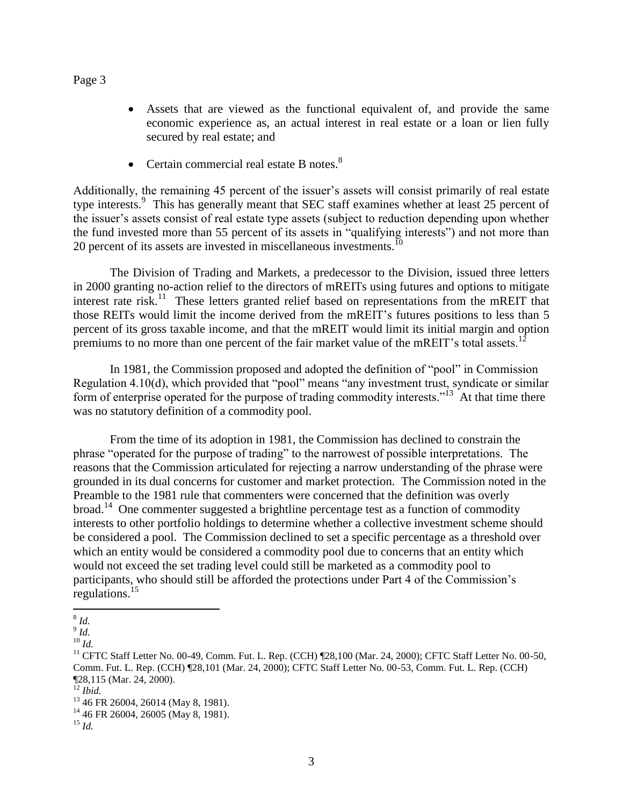- Assets that are viewed as the functional equivalent of, and provide the same economic experience as, an actual interest in real estate or a loan or lien fully secured by real estate; and
- Certain commercial real estate B notes. $8$

Additionally, the remaining 45 percent of the issuer's assets will consist primarily of real estate type interests.<sup>9</sup> This has generally meant that SEC staff examines whether at least 25 percent of the issuer's assets consist of real estate type assets (subject to reduction depending upon whether the fund invested more than 55 percent of its assets in "qualifying interests") and not more than 20 percent of its assets are invested in miscellaneous investments.<sup>10</sup>

The Division of Trading and Markets, a predecessor to the Division, issued three letters in 2000 granting no-action relief to the directors of mREITs using futures and options to mitigate interest rate risk.<sup>11</sup> These letters granted relief based on representations from the mREIT that those REITs would limit the income derived from the mREIT's futures positions to less than 5 percent of its gross taxable income, and that the mREIT would limit its initial margin and option premiums to no more than one percent of the fair market value of the mREIT's total assets.<sup>1</sup>

In 1981, the Commission proposed and adopted the definition of "pool" in Commission Regulation 4.10(d), which provided that "pool" means "any investment trust, syndicate or similar form of enterprise operated for the purpose of trading commodity interests."<sup>13</sup> At that time there was no statutory definition of a commodity pool.

From the time of its adoption in 1981, the Commission has declined to constrain the phrase "operated for the purpose of trading" to the narrowest of possible interpretations. The reasons that the Commission articulated for rejecting a narrow understanding of the phrase were grounded in its dual concerns for customer and market protection. The Commission noted in the Preamble to the 1981 rule that commenters were concerned that the definition was overly broad.<sup>14</sup> One commenter suggested a brightline percentage test as a function of commodity interests to other portfolio holdings to determine whether a collective investment scheme should be considered a pool. The Commission declined to set a specific percentage as a threshold over which an entity would be considered a commodity pool due to concerns that an entity which would not exceed the set trading level could still be marketed as a commodity pool to participants, who should still be afforded the protections under Part 4 of the Commission's regulations.<sup>15</sup>

 $\overline{a}$ 8 *Id.*

<sup>9</sup> *Id.*

<sup>10</sup> *Id.*

<sup>&</sup>lt;sup>11</sup> CFTC Staff Letter No. 00-49, Comm. Fut. L. Rep. (CCH) [28,100 (Mar. 24, 2000); CFTC Staff Letter No. 00-50, Comm. Fut. L. Rep. (CCH) ¶28,101 (Mar. 24, 2000); CFTC Staff Letter No. 00-53, Comm. Fut. L. Rep. (CCH) ¶28,115 (Mar. 24, 2000).

<sup>12</sup> *Ibid.*

 $^{13}$  46 FR 26004, 26014 (May 8, 1981).

<sup>&</sup>lt;sup>14</sup> 46 FR 26004, 26005 (May 8, 1981).

<sup>15</sup> *Id.*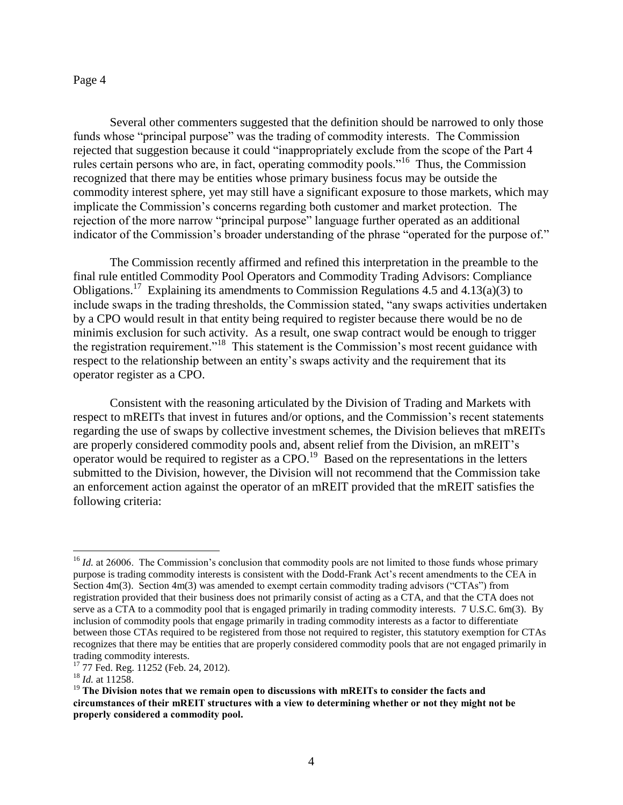Several other commenters suggested that the definition should be narrowed to only those funds whose "principal purpose" was the trading of commodity interests. The Commission rejected that suggestion because it could "inappropriately exclude from the scope of the Part 4 rules certain persons who are, in fact, operating commodity pools."<sup>16</sup> Thus, the Commission recognized that there may be entities whose primary business focus may be outside the commodity interest sphere, yet may still have a significant exposure to those markets, which may implicate the Commission's concerns regarding both customer and market protection. The rejection of the more narrow "principal purpose" language further operated as an additional indicator of the Commission's broader understanding of the phrase "operated for the purpose of."

The Commission recently affirmed and refined this interpretation in the preamble to the final rule entitled Commodity Pool Operators and Commodity Trading Advisors: Compliance Obligations.<sup>17</sup> Explaining its amendments to Commission Regulations 4.5 and 4.13(a)(3) to include swaps in the trading thresholds, the Commission stated, "any swaps activities undertaken by a CPO would result in that entity being required to register because there would be no de minimis exclusion for such activity. As a result, one swap contract would be enough to trigger the registration requirement."<sup>18</sup> This statement is the Commission's most recent guidance with respect to the relationship between an entity's swaps activity and the requirement that its operator register as a CPO.

Consistent with the reasoning articulated by the Division of Trading and Markets with respect to mREITs that invest in futures and/or options, and the Commission's recent statements regarding the use of swaps by collective investment schemes, the Division believes that mREITs are properly considered commodity pools and, absent relief from the Division, an mREIT's operator would be required to register as a CPO.<sup>19</sup> Based on the representations in the letters submitted to the Division, however, the Division will not recommend that the Commission take an enforcement action against the operator of an mREIT provided that the mREIT satisfies the following criteria:

 $\overline{a}$ 

<sup>&</sup>lt;sup>16</sup> *Id.* at 26006. The Commission's conclusion that commodity pools are not limited to those funds whose primary purpose is trading commodity interests is consistent with the Dodd-Frank Act's recent amendments to the CEA in Section 4m(3). Section 4m(3) was amended to exempt certain commodity trading advisors ("CTAs") from registration provided that their business does not primarily consist of acting as a CTA, and that the CTA does not serve as a CTA to a commodity pool that is engaged primarily in trading commodity interests. 7 U.S.C. 6m(3). By inclusion of commodity pools that engage primarily in trading commodity interests as a factor to differentiate between those CTAs required to be registered from those not required to register, this statutory exemption for CTAs recognizes that there may be entities that are properly considered commodity pools that are not engaged primarily in trading commodity interests.

<sup>&</sup>lt;sup>17</sup> 77 Fed. Reg. 11252 (Feb. 24, 2012).

<sup>18</sup> *Id.* at 11258.

<sup>19</sup> **The Division notes that we remain open to discussions with mREITs to consider the facts and circumstances of their mREIT structures with a view to determining whether or not they might not be properly considered a commodity pool.**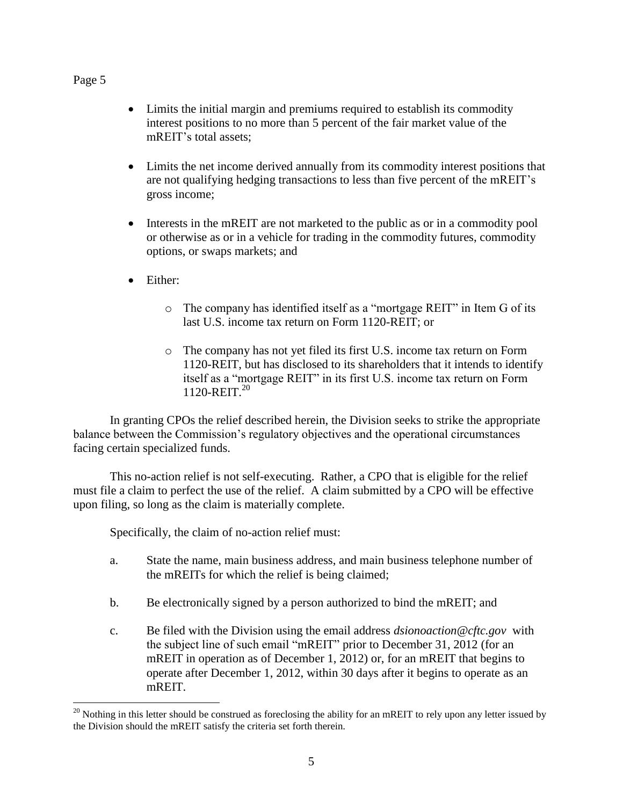$\overline{a}$ 

- Limits the initial margin and premiums required to establish its commodity interest positions to no more than 5 percent of the fair market value of the mREIT's total assets;
- Limits the net income derived annually from its commodity interest positions that are not qualifying hedging transactions to less than five percent of the mREIT's gross income;
- Interests in the mREIT are not marketed to the public as or in a commodity pool or otherwise as or in a vehicle for trading in the commodity futures, commodity options, or swaps markets; and
- Either:
	- o The company has identified itself as a "mortgage REIT" in Item G of its last U.S. income tax return on Form 1120-REIT; or
	- o The company has not yet filed its first U.S. income tax return on Form 1120-REIT, but has disclosed to its shareholders that it intends to identify itself as a "mortgage REIT" in its first U.S. income tax return on Form 1120-REIT. 20

In granting CPOs the relief described herein, the Division seeks to strike the appropriate balance between the Commission's regulatory objectives and the operational circumstances facing certain specialized funds.

This no-action relief is not self-executing. Rather, a CPO that is eligible for the relief must file a claim to perfect the use of the relief. A claim submitted by a CPO will be effective upon filing, so long as the claim is materially complete.

Specifically, the claim of no-action relief must:

- a. State the name, main business address, and main business telephone number of the mREITs for which the relief is being claimed;
- b. Be electronically signed by a person authorized to bind the mREIT; and
- c. Be filed with the Division using the email address *dsionoaction@cftc.gov* with the subject line of such email "mREIT" prior to December 31, 2012 (for an mREIT in operation as of December 1, 2012) or, for an mREIT that begins to operate after December 1, 2012, within 30 days after it begins to operate as an mREIT.

 $20$  Nothing in this letter should be construed as foreclosing the ability for an mREIT to rely upon any letter issued by the Division should the mREIT satisfy the criteria set forth therein.